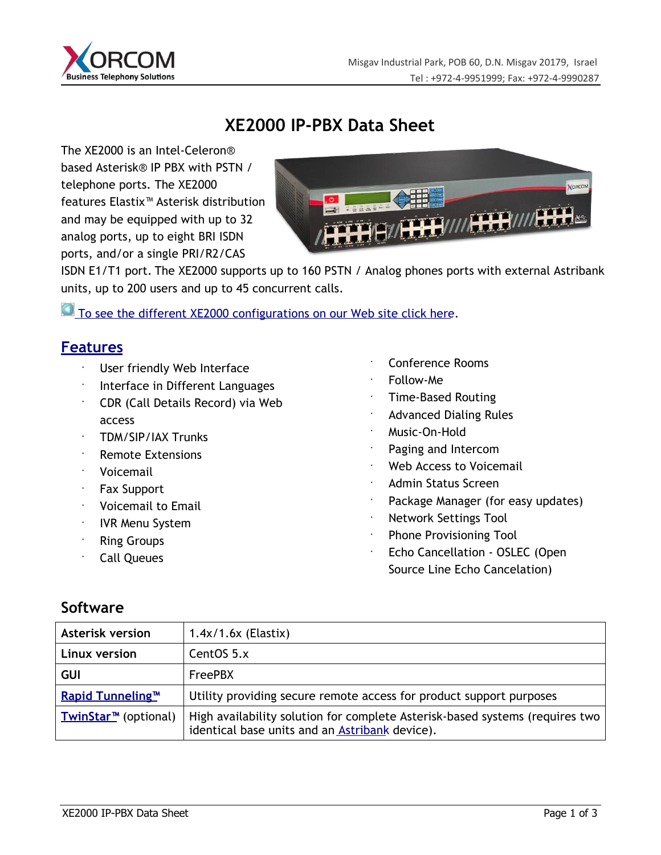

## **XE2000 IP-PBX Data Sheet**

The XE2000 is an Intel-Celeron® based Asterisk® IP PBX with PSTN / telephone ports. The XE2000 features Elastix™ Asterisk distribution and may be equipped with up to 32 analog ports, up to eight BRI ISDN ports, and/or a single PRI/R2/CAS



ISDN E1/T1 port. The XE2000 supports up to 160 PSTN / Analog phones ports with external Astribank units, up to 200 users and up to 45 concurrent calls.

To see the different XE2000 configurations on our Web site click here.

#### **Features**

- User friendly Web Interface
- Interface in Different Languages
- CDR (Call Details Record) via Web access
- TDM/SIP/IAX Trunks
- Remote Extensions
- Voicemail
- Fax Support
- Voicemail to Email
- IVR Menu System
- Ring Groups
- Call Queues
- Conference Rooms
- Follow-Me
- Time-Based Routing
- Advanced Dialing Rules
- Music-On-Hold
- Paging and Intercom
- Web Access to Voicemail
- Admin Status Screen
- Package Manager (for easy updates)
- Network Settings Tool
- Phone Provisioning Tool
	- Echo Cancellation OSLEC (Open Source Line Echo Cancelation)

#### **Software**

| <b>Asterisk version</b>            | $1.4x/1.6x$ (Elastix)                                                                                                          |
|------------------------------------|--------------------------------------------------------------------------------------------------------------------------------|
| Linux version                      | CentOS 5.x                                                                                                                     |
| <b>GUI</b>                         | <b>FreePBX</b>                                                                                                                 |
| <b>Rapid Tunneling<sup>™</sup></b> | Utility providing secure remote access for product support purposes                                                            |
| TwinStar <sup>™</sup> (optional)   | High availability solution for complete Asterisk-based systems (requires two<br>identical base units and an Astribank device). |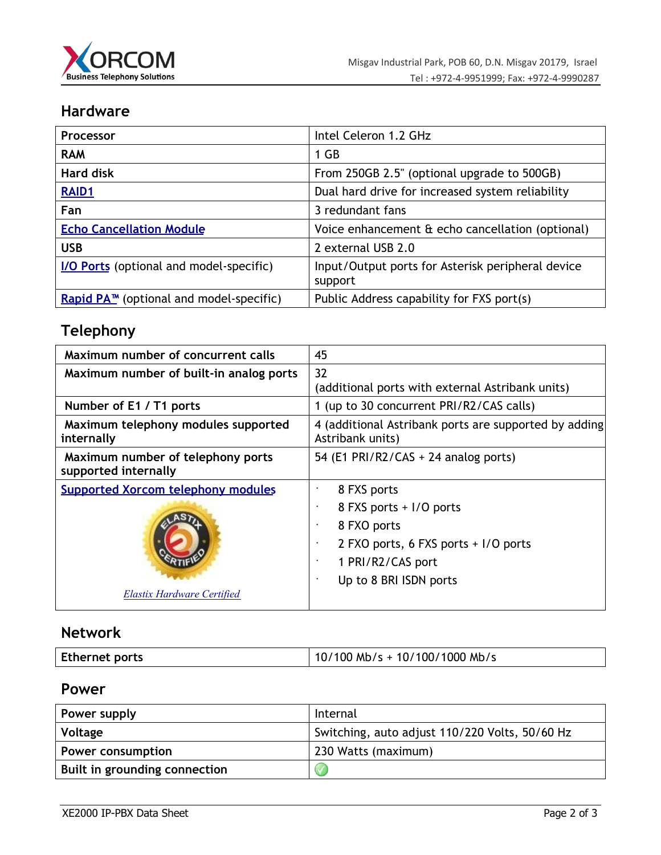

## **Hardware**

| Processor                                           | Intel Celeron 1.2 GHz                                        |  |
|-----------------------------------------------------|--------------------------------------------------------------|--|
| <b>RAM</b>                                          | 1 GB                                                         |  |
| <b>Hard disk</b>                                    | From 250GB 2.5" (optional upgrade to 500GB)                  |  |
| <b>RAID1</b>                                        | Dual hard drive for increased system reliability             |  |
| Fan                                                 | 3 redundant fans                                             |  |
| <b>Echo Cancellation Module</b>                     | Voice enhancement & echo cancellation (optional)             |  |
| <b>USB</b>                                          | 2 external USB 2.0                                           |  |
| <b>I/O Ports</b> (optional and model-specific)      | Input/Output ports for Asterisk peripheral device<br>support |  |
| Rapid PA <sup>™</sup> (optional and model-specific) | Public Address capability for FXS port(s)                    |  |

# **Telephony**

| Maximum number of concurrent calls                        | 45                                                                        |
|-----------------------------------------------------------|---------------------------------------------------------------------------|
| Maximum number of built-in analog ports                   | 32                                                                        |
|                                                           | (additional ports with external Astribank units)                          |
| Number of E1 / T1 ports                                   | 1 (up to 30 concurrent PRI/R2/CAS calls)                                  |
| Maximum telephony modules supported<br>internally         | 4 (additional Astribank ports are supported by adding<br>Astribank units) |
| Maximum number of telephony ports<br>supported internally | 54 (E1 PRI/R2/CAS + 24 analog ports)                                      |
| <b>Supported Xorcom telephony modules</b>                 | 8 FXS ports                                                               |
|                                                           | 8 FXS ports + I/O ports<br>$\bullet$                                      |
|                                                           | 8 FXO ports<br>$\bullet$                                                  |
|                                                           | 2 FXO ports, 6 FXS ports + I/O ports<br>$\bullet$                         |
|                                                           | 1 PRI/R2/CAS port<br>$\bullet$                                            |
|                                                           | Up to 8 BRI ISDN ports<br>$\bullet$                                       |
| Elastix Hardware Certified                                |                                                                           |

## **Network**

| <b>Ethernet ports</b> | $10/100$ Mb/s + 10/100/1000 Mb/s |
|-----------------------|----------------------------------|
|-----------------------|----------------------------------|

#### **Power**

| Power supply                  | Internal                                       |
|-------------------------------|------------------------------------------------|
| Voltage                       | Switching, auto adjust 110/220 Volts, 50/60 Hz |
| Power consumption             | 230 Watts (maximum)                            |
| Built in grounding connection |                                                |